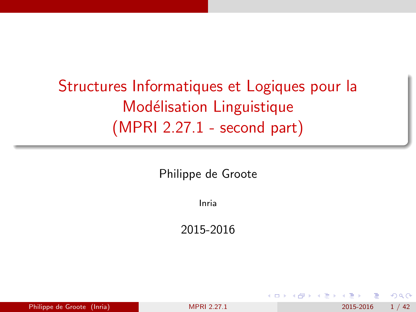# <span id="page-0-0"></span>Structures Informatiques et Logiques pour la Modélisation Linguistique (MPRI 2.27.1 - second part)

Philippe de Groote

Inria

2015-2016

| Philippe de Groote (Inria)<br>2015-2016<br><b>MPRI 2.27.1</b> | 1/42 |
|---------------------------------------------------------------|------|
|---------------------------------------------------------------|------|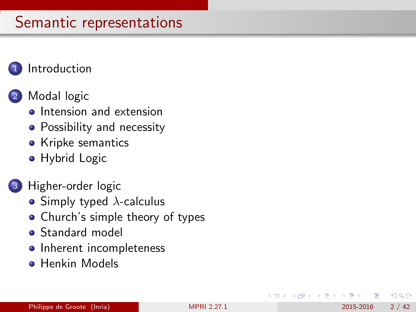### **[Introduction](#page-2-0)**

### [Modal logic](#page-5-0)

- **o** [Intension and extension](#page-6-0)
- [Possibility and necessity](#page-9-0)
- [Kripke semantics](#page-14-0)
- **•** [Hybrid Logic](#page-19-0)
- [Higher-order logic](#page-25-0)
	- [Simply typed](#page-26-0)  $\lambda$ -calculus
	- [Church's simple theory of types](#page-30-0)
	- **[Standard model](#page-34-0)**
	- [Inherent incompleteness](#page-37-0)
	- **[Henkin Models](#page-40-0)**

 $200$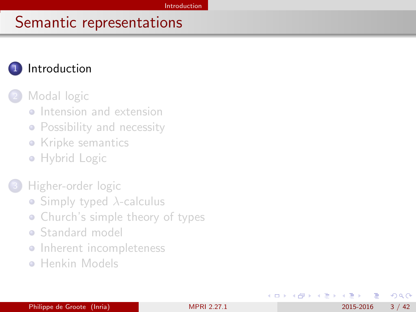### <span id="page-2-0"></span>**[Introduction](#page-2-0)**

#### [Modal logic](#page-5-0)

- **o** [Intension and extension](#page-6-0)
- [Possibility and necessity](#page-9-0)
- [Kripke semantics](#page-14-0)
- [Hybrid Logic](#page-19-0)

#### [Higher-order logic](#page-25-0)

- [Simply typed](#page-26-0)  $\lambda$ -calculus
- [Church's simple theory of types](#page-30-0)
- **[Standard model](#page-34-0)**
- [Inherent incompleteness](#page-37-0)
- **[Henkin Models](#page-40-0)**

4 日下

 $\Omega$ 

化重 网络重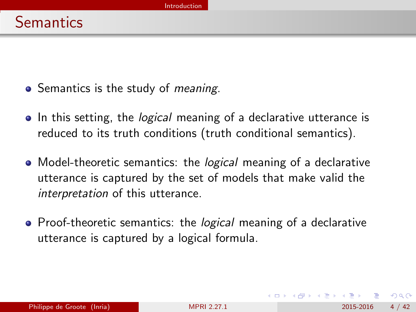- <span id="page-3-0"></span>• Semantics is the study of *meaning*.
- In this setting, the *logical* meaning of a declarative utterance is reduced to its truth conditions (truth conditional semantics).
- Model-theoretic semantics: the *logical* meaning of a declarative utterance is captured by the set of models that make valid the interpretation of this utterance.
- Proof-theoretic semantics: the *logical* meaning of a declarative utterance is captured by a logical formula.

 $200$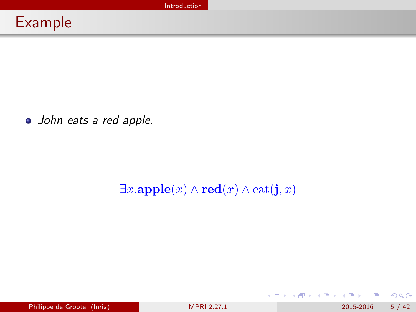<span id="page-4-0"></span>John eats a red apple.

### $\exists x.\mathbf{apple}(x) \land \mathbf{red}(x) \land \mathbf{eat}(\mathbf{j},x)$

D. Philippe de Groote (Inria) [MPRI 2.27.1](#page-0-0) 2015-2016 5 / 42

 $299$ 

イロト イ部 トイヨ トイヨト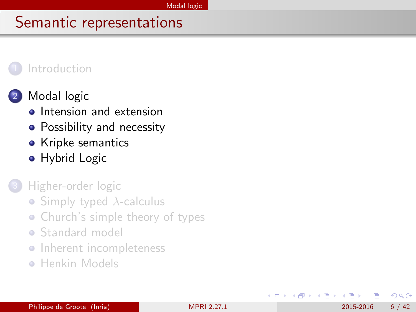#### <span id="page-5-0"></span>**[Introduction](#page-2-0)**



### [Modal logic](#page-5-0)

- **o** [Intension and extension](#page-6-0)
- [Possibility and necessity](#page-9-0)
- [Kripke semantics](#page-14-0)
- **•** [Hybrid Logic](#page-19-0)

[Higher-order logic](#page-25-0)

- [Simply typed](#page-26-0)  $\lambda$ -calculus
- [Church's simple theory of types](#page-30-0)
- **[Standard model](#page-34-0)**
- **•** [Inherent incompleteness](#page-37-0)
- **[Henkin Models](#page-40-0)**

∋ k i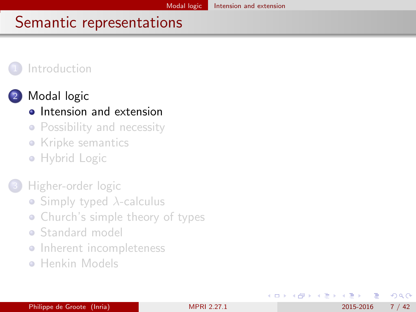#### <span id="page-6-0"></span>**[Introduction](#page-2-0)**



## [Modal logic](#page-5-0)

### **o** [Intension and extension](#page-6-0)

- [Possibility and necessity](#page-9-0)
- [Kripke semantics](#page-14-0)
- [Hybrid Logic](#page-19-0)

### [Higher-order logic](#page-25-0)

- [Simply typed](#page-26-0)  $\lambda$ -calculus
- [Church's simple theory of types](#page-30-0)
- **[Standard model](#page-34-0)**
- [Inherent incompleteness](#page-37-0)
- **[Henkin Models](#page-40-0)**

œ e l

 $200$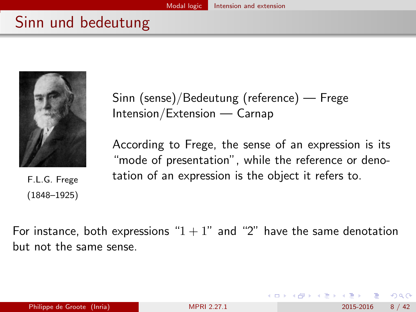## <span id="page-7-0"></span>Sinn und bedeutung



F.L.G. Frege (1848–1925)

Sinn (sense)/Bedeutung (reference) — Frege Intension/Extension — Carnap

According to Frege, the sense of an expression is its "mode of presentation", while the reference or denotation of an expression is the object it refers to.

For instance, both expressions " $1 + 1$ " and "2" have the same denotation but not the same sense.

 $200$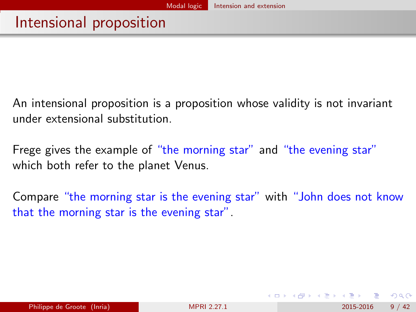<span id="page-8-0"></span>An intensional proposition is a proposition whose validity is not invariant under extensional substitution.

Frege gives the example of "the morning star" and "the evening star" which both refer to the planet Venus.

Compare "the morning star is the evening star" with "John does not know that the morning star is the evening star".

 $QQQ$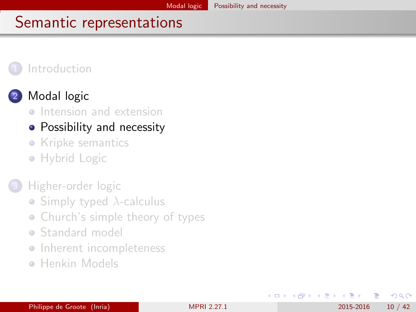#### <span id="page-9-0"></span>**[Introduction](#page-2-0)**



### [Modal logic](#page-5-0)

**o** [Intension and extension](#page-6-0)

### • [Possibility and necessity](#page-9-0)

- [Kripke semantics](#page-14-0)
- [Hybrid Logic](#page-19-0)

### [Higher-order logic](#page-25-0)

- [Simply typed](#page-26-0)  $\lambda$ -calculus
- [Church's simple theory of types](#page-30-0)
- **[Standard model](#page-34-0)**
- **•** [Inherent incompleteness](#page-37-0)
- **[Henkin Models](#page-40-0)**

 $\leftarrow$ 

∋⊳⊣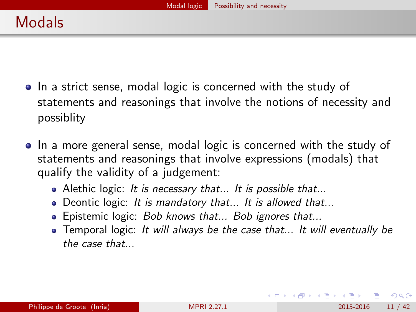- <span id="page-10-0"></span>• In a strict sense, modal logic is concerned with the study of statements and reasonings that involve the notions of necessity and possiblity
- In a more general sense, modal logic is concerned with the study of statements and reasonings that involve expressions (modals) that qualify the validity of a judgement:
	- Alethic logic: It is necessary that... It is possible that...
	- Deontic logic: It is mandatory that... It is allowed that...
	- Epistemic logic: *Bob knows that... Bob ignores that...*
	- Temporal logic: It will always be the case that... It will eventually be the case that...

 $\Omega$ 

医单位 医单位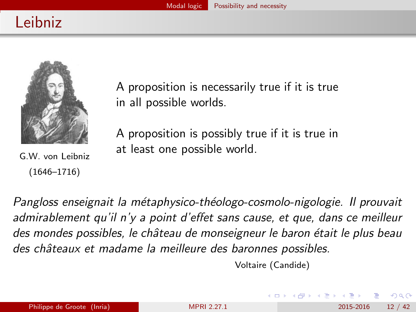# <span id="page-11-0"></span>Leibniz



G.W. von Leibniz (1646–1716)

A proposition is necessarily true if it is true in all possible worlds.

A proposition is possibly true if it is true in at least one possible world.

Pangloss enseignait la métaphysico-théologo-cosmolo-nigologie. Il prouvait admirablement qu'il n'y a point d'effet sans cause, et que, dans ce meilleur des mondes possibles, le château de monseigneur le baron était le plus beau des châteaux et madame la meilleure des baronnes possibles.

Voltaire (Candide)

 $\Omega$ 

化重新润滑脂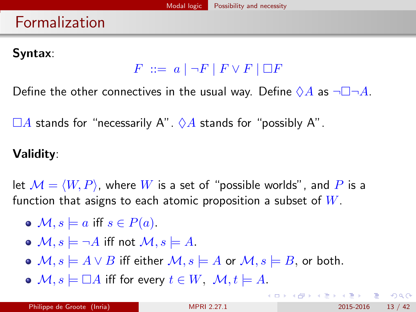## <span id="page-12-0"></span>Formalization

### Syntax:

 $F \ ::= a \mid \neg F \mid F \vee F \mid \Box F$ 

Define the other connectives in the usual way. Define  $\Diamond A$  as  $\neg \Box \neg A$ .

 $\Box A$  stands for "necessarily A".  $\Diamond A$  stands for "possibly A".

### Validity:

let  $\mathcal{M} = \langle W, P \rangle$ , where W is a set of "possible worlds", and P is a function that asigns to each atomic proposition a subset of  $W$ .

- $\bullet \mathcal{M}, s \models a \text{ iff } s \in P(a).$
- $\bullet$   $\mathcal{M}, s \models \neg A$  iff not  $\mathcal{M}, s \models A$ .
- $\bullet$   $\mathcal{M}, s \models A \vee B$  iff either  $\mathcal{M}, s \models A$  or  $\mathcal{M}, s \models B$ , or both.
- $\bullet$   $\mathcal{M}, s \models \Box A$  iff for every  $t \in W$ ,  $\mathcal{M}, t \models A$ .

 $\Omega$ 

 $\mathbf{A} \equiv \mathbf{A} + \mathbf{A} \mathbf{B} + \mathbf{A} \mathbf{B} + \mathbf{A} \mathbf{B} + \mathbf{B} \mathbf{B}$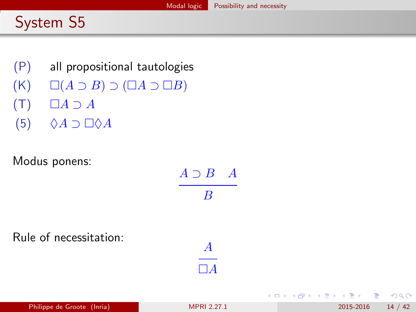# <span id="page-13-0"></span>System S5

- (P) all propositional tautologies
- $(K)$   $\square(A \supset B) \supset (\square A \supset \square B)$
- $(T)$   $\Box A \supset A$
- $(5)$   $\Diamond A \supset \Box \Diamond A$

Modus ponens:

| Philippe de Groote (Inria) | <b>MPRI 2.27.1</b>           | 14/4<br>2015-2016             |
|----------------------------|------------------------------|-------------------------------|
| le of necessitation:       | $\boldsymbol{A}$<br>$\Box A$ | イロト (個) (電) (電) (電) (電) きっつな( |
| dus ponens:                | $A \supset B$ $A$<br>B       |                               |

Rule of necessitation: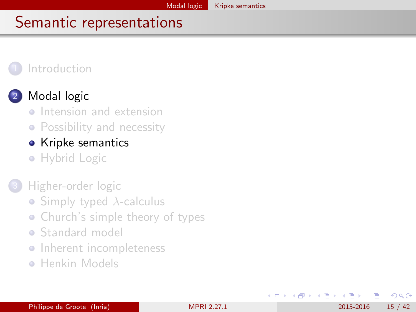#### <span id="page-14-0"></span>**[Introduction](#page-2-0)**



### [Modal logic](#page-5-0)

- **[Intension and extension](#page-6-0)**
- [Possibility and necessity](#page-9-0)

### • [Kripke semantics](#page-14-0)

• [Hybrid Logic](#page-19-0)

### [Higher-order logic](#page-25-0)

- [Simply typed](#page-26-0)  $\lambda$ -calculus
- [Church's simple theory of types](#page-30-0)
- **[Standard model](#page-34-0)**
- [Inherent incompleteness](#page-37-0)
- **[Henkin Models](#page-40-0)**

4 0 8

E F.K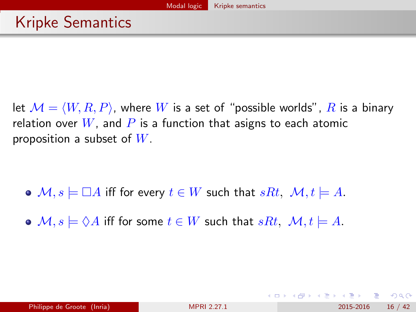<span id="page-15-0"></span>let  $\mathcal{M} = \langle W, R, P \rangle$ , where W is a set of "possible worlds", R is a binary relation over  $W$ , and P is a function that asigns to each atomic proposition a subset of  $W$ .

$$
\bullet \ \mathcal{M}, s \models \Box A \text{ iff for every } t \in W \text{ such that } sRt, \ \mathcal{M}, t \models A.
$$

•  $M, s \models \Diamond A$  iff for some  $t \in W$  such that  $sRt, M, t \models A$ .

 $\Omega$ 

イロト イ押ト イヨト イヨト ニヨ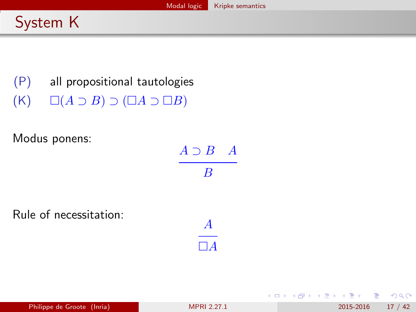## <span id="page-16-0"></span>System K

(P) all propositional tautologies  $(K)$   $\square(A \supset B) \supset (\square A \supset \square B)$ 

Modus ponens:

| $A \supset B$ $A$         |  |
|---------------------------|--|
| $\boldsymbol{\mathsf{B}}$ |  |

A  $\Box A$ 

Rule of necessitation:

画

- 4 君 8 - 4 君 8

**← ロ → → ← 何 →** 

 $QQ$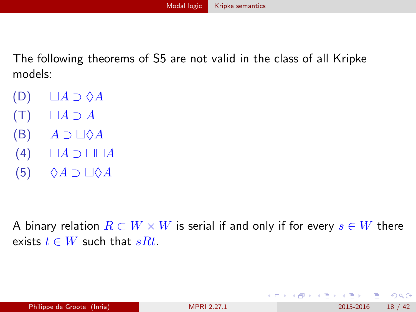<span id="page-17-0"></span>The following theorems of S5 are not valid in the class of all Kripke models:

- $(D)$   $\Box A \supset \Diamond A$
- $(T)$   $\Box A \supset A$
- $(B)$   $A \supset \Box \Diamond A$
- $(4)$   $\Box A \supset \Box \Box A$
- $(5)$   $\Diamond A \supset \Box \Diamond A$

A binary relation  $R \subset W \times W$  is serial if and only if for every  $s \in W$  there exists  $t \in W$  such that  $sRt$ .

 $QQ$ 

| ④ 重 ※ ④ 重 》

◂**◻▸ ◂<del>⁄</del>** ▸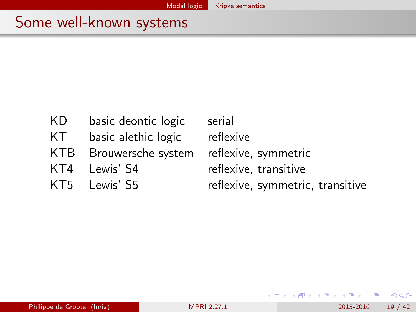## <span id="page-18-0"></span>Some well-known systems

| KD  | basic deontic logic | serial                           |
|-----|---------------------|----------------------------------|
| KT. | basic alethic logic | reflexive                        |
| KTB | Brouwersche system  | reflexive, symmetric             |
| KT4 | Lewis' S4           | reflexive, transitive            |
| KT5 | Lewis' S5           | reflexive, symmetric, transitive |

メロメ メ都 メメ きょくきょ

 $2990$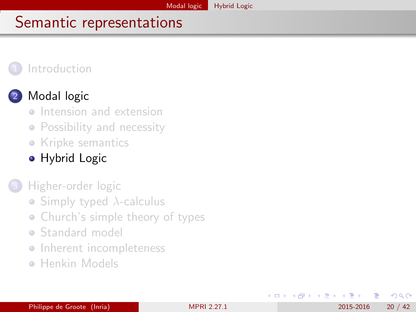#### <span id="page-19-0"></span>**[Introduction](#page-2-0)**



### [Modal logic](#page-5-0)

- **o** [Intension and extension](#page-6-0)
- [Possibility and necessity](#page-9-0)
- [Kripke semantics](#page-14-0)
- **•** [Hybrid Logic](#page-19-0)
- [Higher-order logic](#page-25-0)
	- [Simply typed](#page-26-0)  $\lambda$ -calculus
	- [Church's simple theory of types](#page-30-0)
	- **[Standard model](#page-34-0)**
	- **•** [Inherent incompleteness](#page-37-0)
	- **[Henkin Models](#page-40-0)**

∋⊳⊣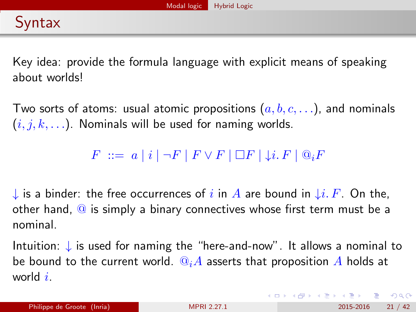<span id="page-20-0"></span>Key idea: provide the formula language with explicit means of speaking about worlds!

Two sorts of atoms: usual atomic propositions  $(a, b, c, \ldots)$ , and nominals  $(i, j, k, \ldots)$ . Nominals will be used for naming worlds.

 $F \ ::= a \mid i \mid \neg F \mid F \vee F \mid \Box F \mid \downarrow i. F \mid @_{i}F$ 

↓ is a binder: the free occurrences of i in A are bound in  $\downarrow i$ . F. On the, other hand,  $\overline{Q}$  is simply a binary connectives whose first term must be a nominal.

Intuition: ↓ is used for naming the "here-and-now". It allows a nominal to be bound to the current world.  $\mathbb{Q}_i A$  asserts that proposition A holds at world  $i$ .

イロト イ団 トイミト イミト ニヨー りんぴ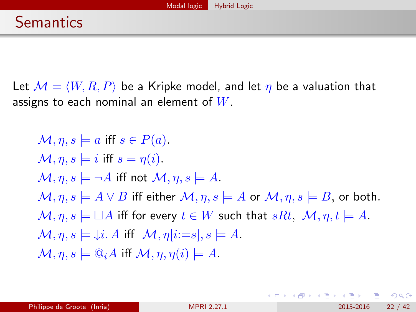<span id="page-21-0"></span>Let  $M = \langle W, R, P \rangle$  be a Kripke model, and let  $\eta$  be a valuation that assigns to each nominal an element of  $W$ .

$$
\mathcal{M}, \eta, s \models a \text{ iff } s \in P(a).\n\mathcal{M}, \eta, s \models i \text{ iff } s = \eta(i).\n\mathcal{M}, \eta, s \models \neg A \text{ iff not } \mathcal{M}, \eta, s \models A.\n\mathcal{M}, \eta, s \models A \lor B \text{ iff either } \mathcal{M}, \eta, s \models A \text{ or } \mathcal{M}, \eta, s \models B, \text{ or both.}\n\mathcal{M}, \eta, s \models \Box A \text{ iff for every } t \in W \text{ such that } sRt, \mathcal{M}, \eta, t \models A.\n\mathcal{M}, \eta, s \models \downarrow i. A \text{ iff } \mathcal{M}, \eta[i:=s], s \models A.\n\mathcal{M}, \eta, s \models \mathbb{Q}_i A \text{ iff } \mathcal{M}, \eta, \eta(i) \models A.
$$

**← ロ → → ← 何 →** 

 $QQ$ 

- 4 重 8 - 4 重 8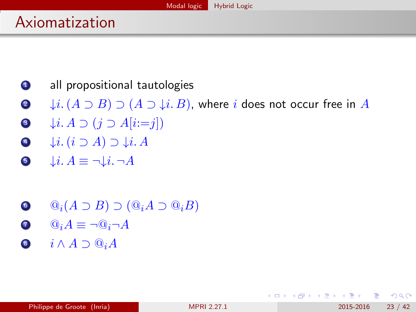## <span id="page-22-0"></span>Axiomatization

- **1** all propositional tautologies
- $\bullet$   $\downarrow i. (A \supset B) \supset (A \supset \downarrow i. B)$ , where i does not occur free in A
- $\bullet$   $\downarrow$ *i. A*  $\supset$  (*j*  $\supset$  *A*[*i*:=*j*])
- $\downarrow i. (i \supset A) \supset \downarrow i. A$
- $\bullet$   $\downarrow i. A \equiv \neg \downarrow i. \neg A$
- $\odot$   $\odot_i (A \supset B) \supset (\odot_i A \supset \odot_i B)$
- $\Omega$   $\mathbb{Q}_i A \equiv \neg \mathbb{Q}_i \neg A$
- 8  $i \wedge A \supset @_i A$

 $QQ$ 

医毛囊 医牙骨下的

4 D F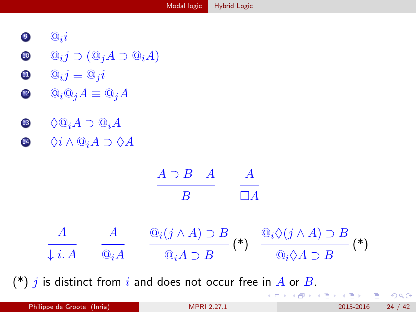- <span id="page-23-0"></span> $\bullet$   $\bullet$   $i$
- $\textbf{0} \quad \textbf{0}_{i}j \supset (\textbf{0}_{j}A \supset \textbf{0}_{i}A)$
- $\mathbf{0} \qquad \mathbf{0}_i j \equiv \mathbf{0}_j i$
- $\mathbf{Q} \qquad \mathbf{Q}_i \mathbf{Q}_j A \equiv \mathbf{Q}_j A$
- **3**  $\Diamond$ **Q**<sub>*i</sub>A* ⊃ **Q**<sub>*i</sub>A*</sub></sub>
- 14  $\Diamond i \wedge @_{i}A \supset \Diamond A$



 $(*)$  j is distinct from i and does not occur free in A or B.

K ロ ⊁ K 個 ≯ K 君 ⊁ K 君 ≯

 $QQ$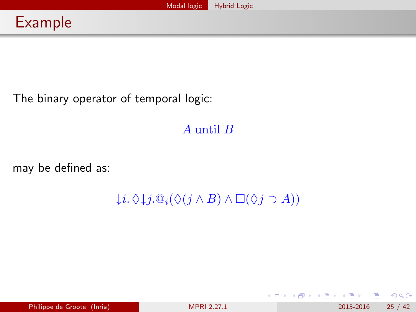<span id="page-24-0"></span>The binary operator of temporal logic:

A until B

may be defined as:

 $\downarrow i. \Diamond \downarrow j. @$ <sub>i</sub> $(\Diamond (j \land B) \land \Box (\Diamond j \supset A))$ 

**← ロ ▶ → イ 同** 

| ④ 重 ※ ④ 重 》

 $QQ$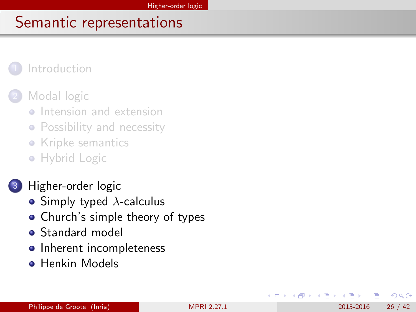#### <span id="page-25-0"></span>**[Introduction](#page-2-0)**

#### [Modal logic](#page-5-0)

- **•** [Intension and extension](#page-6-0)
- [Possibility and necessity](#page-9-0)
- [Kripke semantics](#page-14-0)
- [Hybrid Logic](#page-19-0)

### [Higher-order logic](#page-25-0)

- [Simply typed](#page-26-0)  $\lambda$ -calculus
- [Church's simple theory of types](#page-30-0)
- **[Standard model](#page-34-0)**
- [Inherent incompleteness](#page-37-0)
- **[Henkin Models](#page-40-0)**

 $200$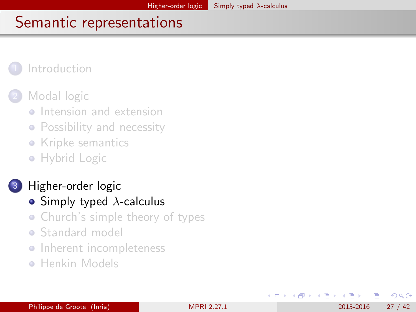#### <span id="page-26-0"></span>**[Introduction](#page-2-0)**

#### [Modal logic](#page-5-0)

- **[Intension and extension](#page-6-0)**
- [Possibility and necessity](#page-9-0)
- [Kripke semantics](#page-14-0)
- [Hybrid Logic](#page-19-0)

### [Higher-order logic](#page-25-0)

- [Simply typed](#page-26-0)  $\lambda$ -calculus
- [Church's simple theory of types](#page-30-0)
- **[Standard model](#page-34-0)**
- [Inherent incompleteness](#page-37-0)
- **[Henkin Models](#page-40-0)**

**∢ ⊡** 

∋⊳⊣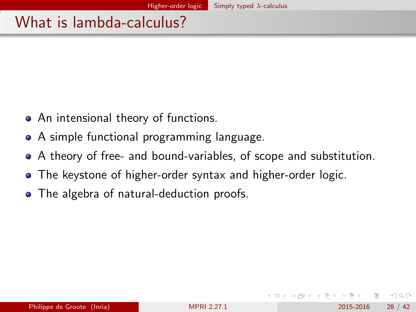## <span id="page-27-0"></span>What is lambda-calculus?

- An intensional theory of functions.
- A simple functional programming language.
- A theory of free- and bound-variables, of scope and substitution.
- The keystone of higher-order syntax and higher-order logic.
- The algebra of natural-deduction proofs.

 $200$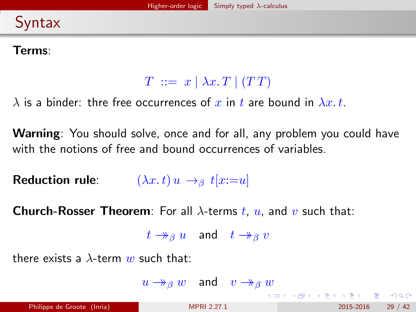## <span id="page-28-0"></span>Syntax

#### Terms:

### $T \ ::= x \mid \lambda x \cdot T \mid (TT)$

 $\lambda$  is a binder: thre free occurrences of x in t are bound in  $\lambda x. t$ .

Warning: You should solve, once and for all, any problem you could have with the notions of free and bound occurrences of variables.

Reduction rule:  $(\lambda x. t) u \rightarrow_\beta t[x:=u]$ 

**Church-Rosser Theorem**: For all  $\lambda$ -terms t, u, and v such that:

 $t \rightarrow_{\beta} u$  and  $t \rightarrow_{\beta} v$ 

there exists a  $\lambda$ -term w such that:

 $u \rightarrow_{\beta} w$  and  $v \rightarrow_{\beta} w$ 

イロト イ団 トイミト イミト ニヨー りんぴ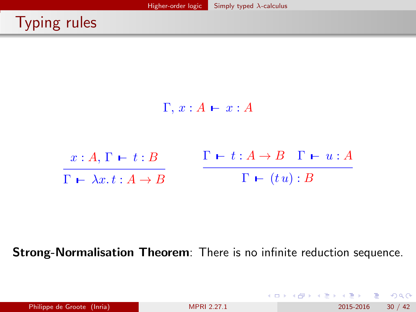# <span id="page-29-0"></span>Typing rules



Strong-Normalisation Theorem: There is no infinite reduction sequence.

|                            |                    |  |  |  | ㅋ ロ ▶ ㅋ 단 ▶ ㅋ 분 ▶ ㅋ 분 ▶  분  ^>) Q (ヾ |
|----------------------------|--------------------|--|--|--|--------------------------------------|
| Philippe de Groote (Inria) | <b>MPRI 2.27.1</b> |  |  |  | 2015-2016 30 / 42                    |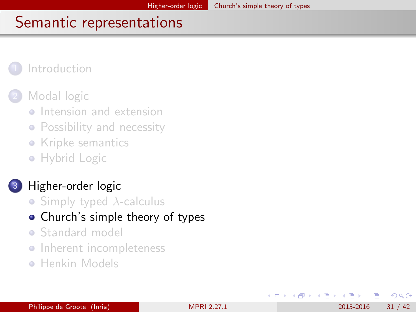#### <span id="page-30-0"></span>**[Introduction](#page-2-0)**

#### [Modal logic](#page-5-0)

- **[Intension and extension](#page-6-0)**
- [Possibility and necessity](#page-9-0)
- [Kripke semantics](#page-14-0)
- [Hybrid Logic](#page-19-0)

### [Higher-order logic](#page-25-0)

- [Simply typed](#page-26-0)  $\lambda$ -calculus
- [Church's simple theory of types](#page-30-0)
- **[Standard model](#page-34-0)**
- [Inherent incompleteness](#page-37-0)
- **[Henkin Models](#page-40-0)**

∋⊳⊣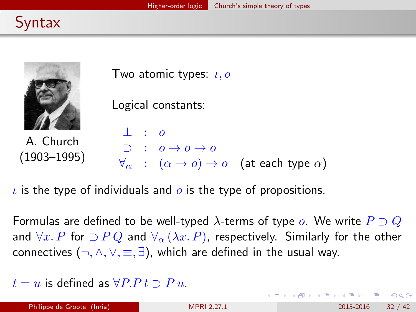<span id="page-31-0"></span>



A. Church (1903–1995)

Two atomic types:  $\iota, o$ 

Logical constants:

⊥ : o  $\supset$  :  $o \rightarrow o \rightarrow o$  $\forall \alpha : (\alpha \rightarrow o) \rightarrow o$  (at each type  $\alpha$ )

 $\iota$  is the type of individuals and  $\iota$  is the type of propositions.

Formulas are defined to be well-typed  $\lambda$ -terms of type  $\rho$ . We write  $P \supset Q$ and  $\forall x \in P$  for  $\supset P Q$  and  $\forall_{\alpha} (\lambda x \in P)$ , respectively. Similarly for the other connectives  $(\neg, \land, \lor, \equiv, \exists)$ , which are defined in the usual way.

 $t = u$  is defined as  $\forall P P t \supset P u$ .

 $\Omega$ 

イロト イ何 トイヨト イヨト ニヨー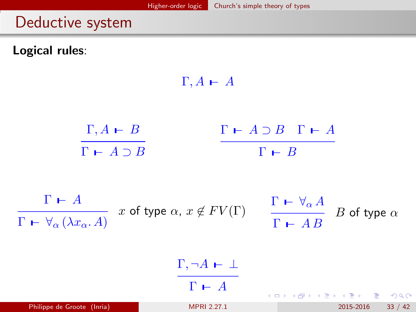### <span id="page-32-0"></span>Deductive system

Logical rules:

 $\Gamma, A \vdash A$  $\Gamma, A \vdash B$  $\Gamma$   $\vdash$   $A \supset B$   $\Gamma$   $\vdash$   $A$  $\overline{\Gamma \vdash A \supset B}$  $\Gamma$   $\vdash$   $B$  $\Gamma \vdash A$  $x$  of type  $\alpha$ ,  $x \not\in FV(\Gamma)$   $\qquad \frac{\Gamma\;\vdash\; \forall_{\alpha}\, A}{\Gamma}$  $B$  of type  $\alpha$  $\Gamma \vdash \forall_{\alpha} (\lambda x_{\alpha}. A)$  $\Gamma$   $\vdash$  A B  $\Gamma, \neg A \,\vdash\, \bot$  $\Gamma \vdash A$ イロン イ部ン イヨン イヨン 一番  $\Omega$ Philippe de Groote (Inria) [MPRI 2.27.1](#page-0-0) 2015-2016 33 / 42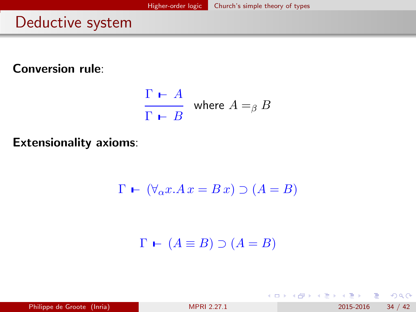## <span id="page-33-0"></span>Deductive system

Conversion rule:

$$
\frac{\Gamma \vdash A}{\Gamma \vdash B} \text{ where } A =_\beta B
$$

Extensionality axioms:

$$
\Gamma \vdash (\forall_{\alpha} x. Ax = B x) \supset (A = B)
$$

 $\Gamma \vdash (A \equiv B) \supset (A = B)$ 

| Philippe de Groote (Inria) | <b>MPRI 2.27.1</b> | 34 / 42<br>2015-2016 |  |
|----------------------------|--------------------|----------------------|--|
|                            |                    |                      |  |

**← ロ ▶ → イ 同** 

 $QQ$ 

化重新润滑脂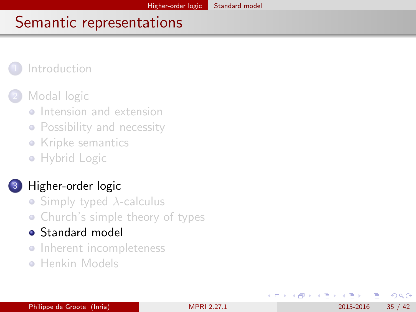#### <span id="page-34-0"></span>**[Introduction](#page-2-0)**

### [Modal logic](#page-5-0)

- **o** [Intension and extension](#page-6-0)
- [Possibility and necessity](#page-9-0)
- [Kripke semantics](#page-14-0)
- [Hybrid Logic](#page-19-0)

### [Higher-order logic](#page-25-0)

- [Simply typed](#page-26-0)  $\lambda$ -calculus
- [Church's simple theory of types](#page-30-0)
- **•** [Standard model](#page-34-0)
- [Inherent incompleteness](#page-37-0)
- **[Henkin Models](#page-40-0)**

**∢ ⊡** 

E F.K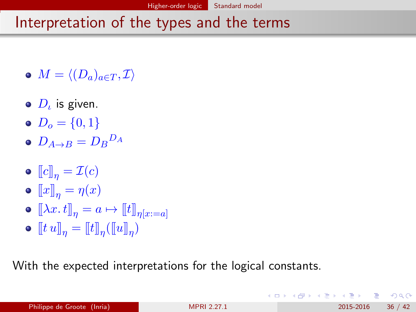## <span id="page-35-0"></span>Interpretation of the types and the terms

- $M = \langle (D_a)_{a \in T} , \mathcal{I} \rangle$
- $D_\iota$  is given.
- $D_0 = \{0, 1\}$
- $D_{A\rightarrow B}=D_{B}{}^{D_{A}}$
- $\bullet \ [c]_n = \mathcal{I}(c)$
- $\bullet \llbracket x \rrbracket_n = \eta(x)$
- $\bullet \ [\![\lambda x. t]\!]_n = a \mapsto [\![t]\!]_{n[x:=a]}$
- $\llbracket t \, u \rrbracket_{\eta} = \llbracket t \rrbracket_{\eta} (\llbracket u \rrbracket_{\eta})$

With the expected interpretations for the logical constants.

 $QQ$ 

イロメ イ何 メイヨメ イヨメーヨ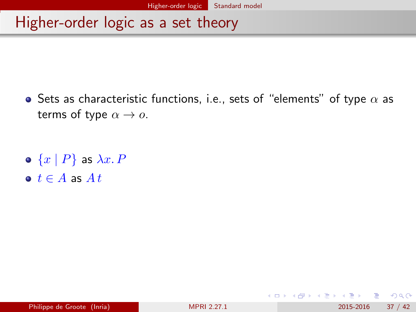## <span id="page-36-0"></span>Higher-order logic as a set theory

 $\bullet$  Sets as characteristic functions, i.e., sets of "elements" of type  $\alpha$  as terms of type  $\alpha \rightarrow o$ .

- $\bullet \{x \mid P\}$  as  $\lambda x. P$
- $\bullet$   $t \in A$  as  $At$

4 日下

 $QQ$ 

K 로 시 K 로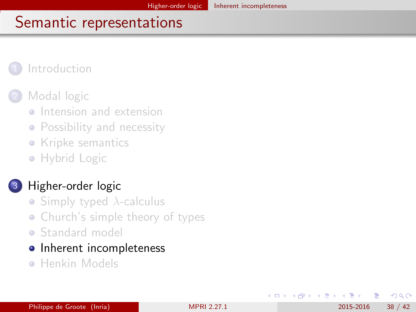#### <span id="page-37-0"></span>**[Introduction](#page-2-0)**

#### [Modal logic](#page-5-0)

- **•** [Intension and extension](#page-6-0)
- [Possibility and necessity](#page-9-0)
- [Kripke semantics](#page-14-0)
- [Hybrid Logic](#page-19-0)

#### [Higher-order logic](#page-25-0)

- [Simply typed](#page-26-0)  $\lambda$ -calculus
- [Church's simple theory of types](#page-30-0)
- **[Standard model](#page-34-0)**
- [Inherent incompleteness](#page-37-0)
- **[Henkin Models](#page-40-0)**

4 0 8

E F.K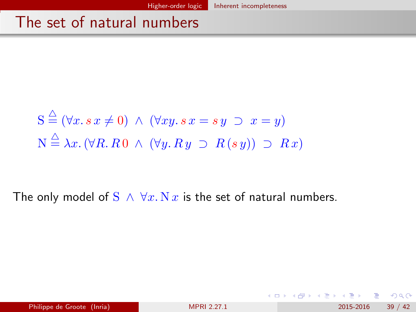## <span id="page-38-0"></span>The set of natural numbers

$$
S \stackrel{\triangle}{=} (\forall x. s \ x \neq 0) \land (\forall xy. s \ x = s \ y \supset x = y)
$$
  

$$
N \stackrel{\triangle}{=} \lambda x. (\forall R. R \ 0 \land (\forall y. R \ y \supset R(s \ y)) \supset R x)
$$

The only model of  $S \wedge \forall x. N x$  is the set of natural numbers.

÷ Philippe de Groote (Inria) [MPRI 2.27.1](#page-0-0) 2015-2016 39 / 42

 $QQ$ 

イロト イ部 トイヨ トイヨト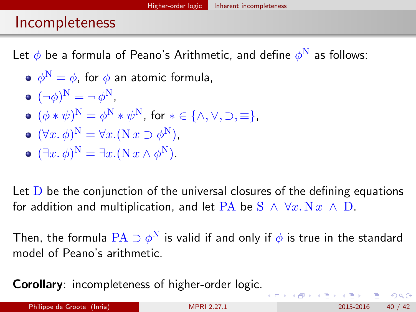## <span id="page-39-0"></span>Incompleteness

Let  $\phi$  be a formula of Peano's Arithmetic, and define  $\phi^\mathrm{N}$  as follows:

- $\phi^\mathrm{N}=\phi$ , for  $\phi$  an atomic formula,
- $(\neg \phi)^N = \neg \phi^N$ ,
- $(\phi * \psi)^N = \phi^N * \psi^N$ , for  $* \in {\wedge, \vee, \supset, \equiv}.$
- $(\forall x. \, \phi)^N = \forall x. (\mathcal{N} \, x \supset \phi^N),$
- $(\exists x. \, \phi)^N = \exists x. (N \, x \wedge \phi^N).$

Let  $D$  be the conjunction of the universal closures of the defining equations for addition and multiplication, and let PA be  $S \wedge \forall x. N x \wedge D$ .

Then, the formula  $\rm PA \supset \phi^N$  is valid if and only if  $\phi$  is true in the standard model of Peano's arithmetic.

Corollary: incompleteness of higher-order logic.

Philippe de Groote (Inria) [MPRI 2.27.1](#page-0-0) 2015-2016 40 / 42

 $\Omega$ 

イロト イ押ト イヨト イヨト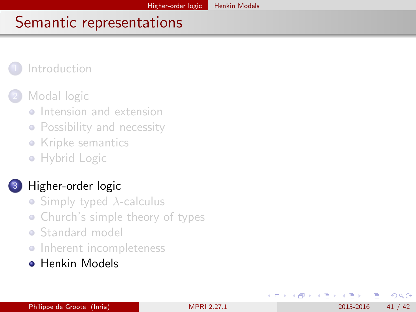#### <span id="page-40-0"></span>**[Introduction](#page-2-0)**

### [Modal logic](#page-5-0)

- **•** [Intension and extension](#page-6-0)
- [Possibility and necessity](#page-9-0)
- [Kripke semantics](#page-14-0)
- [Hybrid Logic](#page-19-0)

### [Higher-order logic](#page-25-0)

- [Simply typed](#page-26-0)  $\lambda$ -calculus
- [Church's simple theory of types](#page-30-0)
- **[Standard model](#page-34-0)**
- **•** [Inherent incompleteness](#page-37-0)
- **[Henkin Models](#page-40-0)**

 $\Omega$ 

**Biskop** 

≔

4 0 8